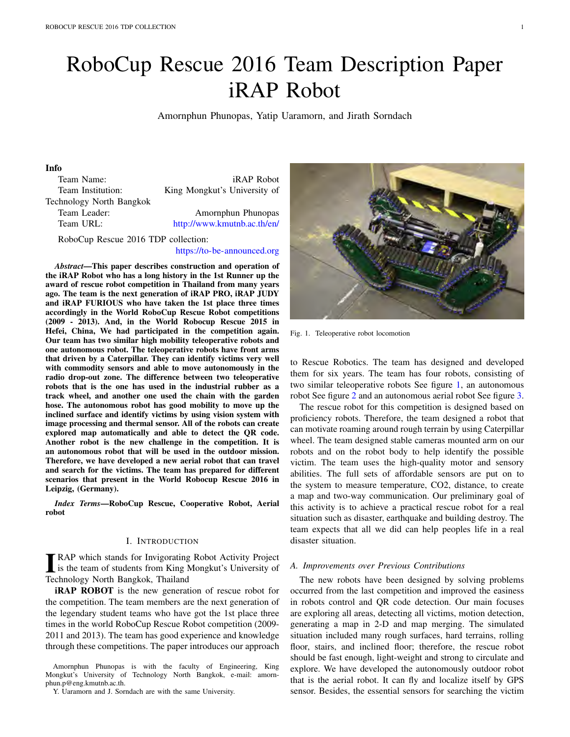# RoboCup Rescue 2016 Team Description Paper iRAP Robot

Amornphun Phunopas, Yatip Uaramorn, and Jirath Sorndach

# Info

| Team Name:               | <i>iRAP Robot</i>            |
|--------------------------|------------------------------|
| Team Institution:        | King Mongkut's University of |
| Technology North Bangkok |                              |
| Team Leader:             | Amornphun Phunopas           |
| Team URL:                | http://www.kmutnb.ac.th/en/  |
|                          |                              |

RoboCup Rescue 2016 TDP collection:

## https://to-be-announced.org

*Abstract*—This paper describes construction and operation of the iRAP Robot who has a long history in the 1st Runner up the award of rescue robot competition in Thailand from many years ago. The team is the next generation of iRAP PRO, iRAP JUDY and iRAP FURIOUS who have taken the 1st place three times accordingly in the World RoboCup Rescue Robot competitions (2009 - 2013). And, in the World Robocup Rescue 2015 in Hefei, China, We had participated in the competition again. Our team has two similar high mobility teleoperative robots and one autonomous robot. The teleoperative robots have front arms that driven by a Caterpillar. They can identify victims very well with commodity sensors and able to move autonomously in the radio drop-out zone. The difference between two teleoperative robots that is the one has used in the industrial rubber as a track wheel, and another one used the chain with the garden hose. The autonomous robot has good mobility to move up the inclined surface and identify victims by using vision system with image processing and thermal sensor. All of the robots can create explored map automatically and able to detect the QR code. Another robot is the new challenge in the competition. It is an autonomous robot that will be used in the outdoor mission. Therefore, we have developed a new aerial robot that can travel and search for the victims. The team has prepared for different scenarios that present in the World Robocup Rescue 2016 in Leipzig, (Germany).

*Index Terms*—RoboCup Rescue, Cooperative Robot, Aerial robot

#### I. INTRODUCTION

**TEAP** which stands for Invigorating Robot Activity Project<br>is the team of students from King Mongkut's University of<br>Technology North Bangkok, Theiland RAP which stands for Invigorating Robot Activity Project Technology North Bangkok, Thailand

iRAP ROBOT is the new generation of rescue robot for the competition. The team members are the next generation of the legendary student teams who have got the 1st place three times in the world RoboCup Rescue Robot competition (2009- 2011 and 2013). The team has good experience and knowledge through these competitions. The paper introduces our approach

Amornphun Phunopas is with the faculty of Engineering, King Mongkut's University of Technology North Bangkok, e-mail: amornphun.p@eng.kmutnb.ac.th.



Fig. 1. Teleoperative robot locomotion

to Rescue Robotics. The team has designed and developed them for six years. The team has four robots, consisting of two similar teleoperative robots See figure 1, an autonomous robot See figure 2 and an autonomous aerial robot See figure 3.

The rescue robot for this competition is designed based on proficiency robots. Therefore, the team designed a robot that can motivate roaming around rough terrain by using Caterpillar wheel. The team designed stable cameras mounted arm on our robots and on the robot body to help identify the possible victim. The team uses the high-quality motor and sensory abilities. The full sets of affordable sensors are put on to the system to measure temperature, CO2, distance, to create a map and two-way communication. Our preliminary goal of this activity is to achieve a practical rescue robot for a real situation such as disaster, earthquake and building destroy. The team expects that all we did can help peoples life in a real disaster situation.

## *A. Improvements over Previous Contributions*

The new robots have been designed by solving problems occurred from the last competition and improved the easiness in robots control and QR code detection. Our main focuses are exploring all areas, detecting all victims, motion detection, generating a map in 2-D and map merging. The simulated situation included many rough surfaces, hard terrains, rolling floor, stairs, and inclined floor; therefore, the rescue robot should be fast enough, light-weight and strong to circulate and explore. We have developed the autonomously outdoor robot that is the aerial robot. It can fly and localize itself by GPS sensor. Besides, the essential sensors for searching the victim

Y. Uaramorn and J. Sorndach are with the same University.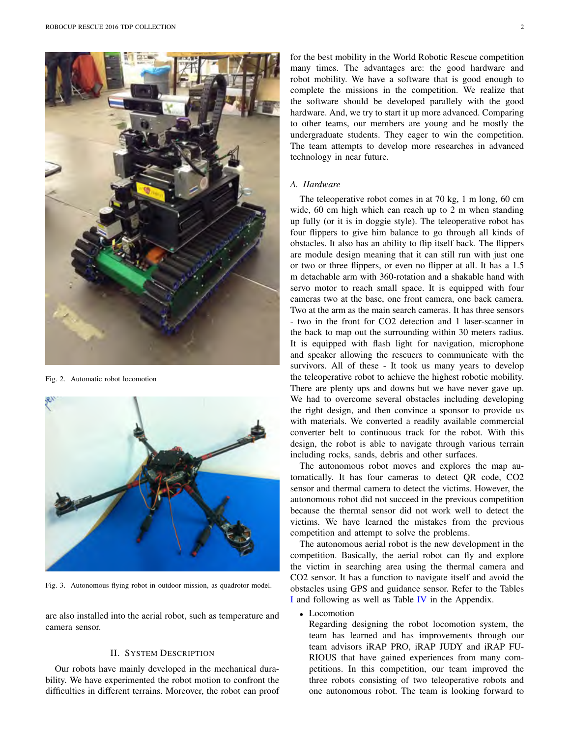

Fig. 2. Automatic robot locomotion



Fig. 3. Autonomous flying robot in outdoor mission, as quadrotor model.

are also installed into the aerial robot, such as temperature and camera sensor.

#### II. SYSTEM DESCRIPTION

Our robots have mainly developed in the mechanical durability. We have experimented the robot motion to confront the difficulties in different terrains. Moreover, the robot can proof

for the best mobility in the World Robotic Rescue competition many times. The advantages are: the good hardware and robot mobility. We have a software that is good enough to complete the missions in the competition. We realize that the software should be developed parallely with the good hardware. And, we try to start it up more advanced. Comparing to other teams, our members are young and be mostly the undergraduate students. They eager to win the competition. The team attempts to develop more researches in advanced technology in near future.

## *A. Hardware*

The teleoperative robot comes in at 70 kg, 1 m long, 60 cm wide, 60 cm high which can reach up to 2 m when standing up fully (or it is in doggie style). The teleoperative robot has four flippers to give him balance to go through all kinds of obstacles. It also has an ability to flip itself back. The flippers are module design meaning that it can still run with just one or two or three flippers, or even no flipper at all. It has a 1.5 m detachable arm with 360-rotation and a shakable hand with servo motor to reach small space. It is equipped with four cameras two at the base, one front camera, one back camera. Two at the arm as the main search cameras. It has three sensors - two in the front for CO2 detection and 1 laser-scanner in the back to map out the surrounding within 30 meters radius. It is equipped with flash light for navigation, microphone and speaker allowing the rescuers to communicate with the survivors. All of these - It took us many years to develop the teleoperative robot to achieve the highest robotic mobility. There are plenty ups and downs but we have never gave up. We had to overcome several obstacles including developing the right design, and then convince a sponsor to provide us with materials. We converted a readily available commercial converter belt to continuous track for the robot. With this design, the robot is able to navigate through various terrain including rocks, sands, debris and other surfaces.

The autonomous robot moves and explores the map automatically. It has four cameras to detect QR code, CO2 sensor and thermal camera to detect the victims. However, the autonomous robot did not succeed in the previous competition because the thermal sensor did not work well to detect the victims. We have learned the mistakes from the previous competition and attempt to solve the problems.

The autonomous aerial robot is the new development in the competition. Basically, the aerial robot can fly and explore the victim in searching area using the thermal camera and CO2 sensor. It has a function to navigate itself and avoid the obstacles using GPS and guidance sensor. Refer to the Tables I and following as well as Table IV in the Appendix.

# *•* Locomotion

Regarding designing the robot locomotion system, the team has learned and has improvements through our team advisors iRAP PRO, iRAP JUDY and iRAP FU-RIOUS that have gained experiences from many competitions. In this competition, our team improved the three robots consisting of two teleoperative robots and one autonomous robot. The team is looking forward to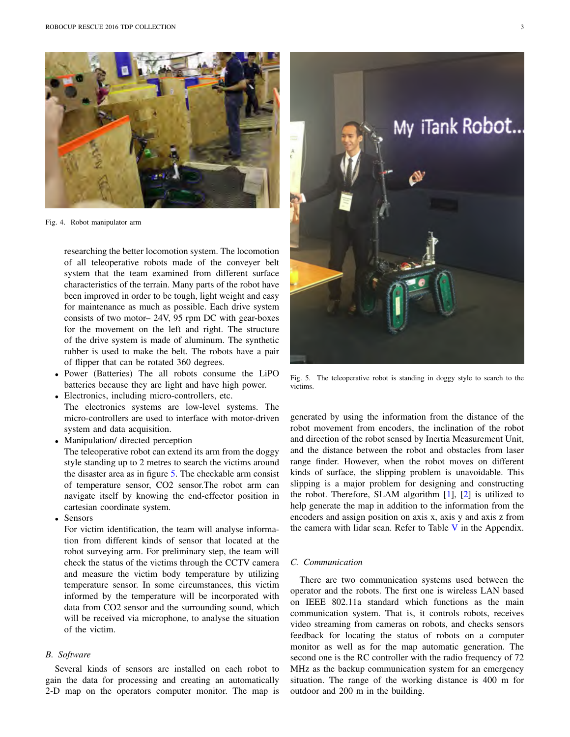

Fig. 4. Robot manipulator arm

researching the better locomotion system. The locomotion of all teleoperative robots made of the conveyer belt system that the team examined from different surface characteristics of the terrain. Many parts of the robot have been improved in order to be tough, light weight and easy for maintenance as much as possible. Each drive system consists of two motor– 24V, 95 rpm DC with gear-boxes for the movement on the left and right. The structure of the drive system is made of aluminum. The synthetic rubber is used to make the belt. The robots have a pair of flipper that can be rotated 360 degrees.

- *•* Power (Batteries) The all robots consume the LiPO batteries because they are light and have high power.
- Electronics, including micro-controllers, etc. The electronics systems are low-level systems. The micro-controllers are used to interface with motor-driven system and data acquisition.
- *•* Manipulation/ directed perception

The teleoperative robot can extend its arm from the doggy style standing up to 2 metres to search the victims around the disaster area as in figure 5. The checkable arm consist of temperature sensor, CO2 sensor.The robot arm can navigate itself by knowing the end-effector position in cartesian coordinate system.

*•* Sensors

For victim identification, the team will analyse information from different kinds of sensor that located at the robot surveying arm. For preliminary step, the team will check the status of the victims through the CCTV camera and measure the victim body temperature by utilizing temperature sensor. In some circumstances, this victim informed by the temperature will be incorporated with data from CO2 sensor and the surrounding sound, which will be received via microphone, to analyse the situation of the victim.

# *B. Software*

Several kinds of sensors are installed on each robot to gain the data for processing and creating an automatically 2-D map on the operators computer monitor. The map is



Fig. 5. The teleoperative robot is standing in doggy style to search to the victims.

generated by using the information from the distance of the robot movement from encoders, the inclination of the robot and direction of the robot sensed by Inertia Measurement Unit, and the distance between the robot and obstacles from laser range finder. However, when the robot moves on different kinds of surface, the slipping problem is unavoidable. This slipping is a major problem for designing and constructing the robot. Therefore, SLAM algorithm [1], [2] is utilized to help generate the map in addition to the information from the encoders and assign position on axis x, axis y and axis z from the camera with lidar scan. Refer to Table  $V$  in the Appendix.

## *C. Communication*

There are two communication systems used between the operator and the robots. The first one is wireless LAN based on IEEE 802.11a standard which functions as the main communication system. That is, it controls robots, receives video streaming from cameras on robots, and checks sensors feedback for locating the status of robots on a computer monitor as well as for the map automatic generation. The second one is the RC controller with the radio frequency of 72 MHz as the backup communication system for an emergency situation. The range of the working distance is 400 m for outdoor and 200 m in the building.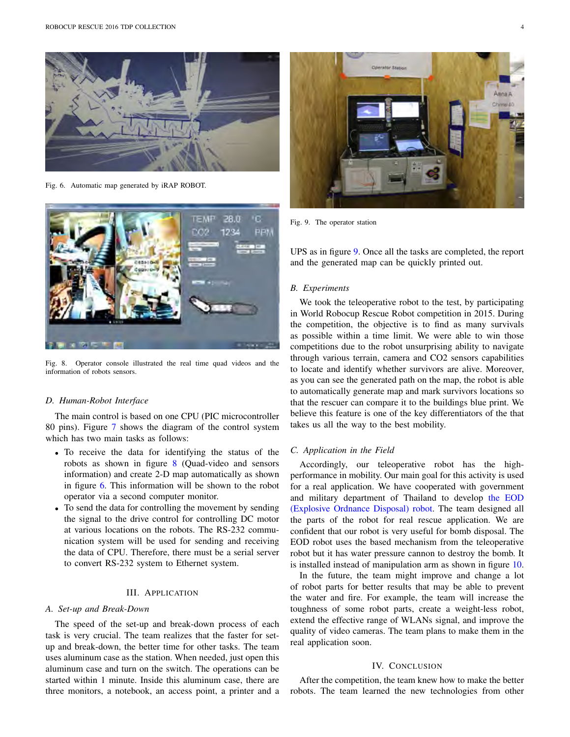

Fig. 6. Automatic map generated by iRAP ROBOT.



Fig. 8. Operator console illustrated the real time quad videos and the information of robots sensors.

#### *D. Human-Robot Interface*

The main control is based on one CPU (PIC microcontroller 80 pins). Figure 7 shows the diagram of the control system which has two main tasks as follows:

- *•* To receive the data for identifying the status of the robots as shown in figure 8 (Quad-video and sensors information) and create 2-D map automatically as shown in figure 6. This information will be shown to the robot operator via a second computer monitor.
- *•* To send the data for controlling the movement by sending the signal to the drive control for controlling DC motor at various locations on the robots. The RS-232 communication system will be used for sending and receiving the data of CPU. Therefore, there must be a serial server to convert RS-232 system to Ethernet system.

## III. APPLICATION

## *A. Set-up and Break-Down*

The speed of the set-up and break-down process of each task is very crucial. The team realizes that the faster for setup and break-down, the better time for other tasks. The team uses aluminum case as the station. When needed, just open this aluminum case and turn on the switch. The operations can be started within 1 minute. Inside this aluminum case, there are three monitors, a notebook, an access point, a printer and a



Fig. 9. The operator station

UPS as in figure 9. Once all the tasks are completed, the report and the generated map can be quickly printed out.

#### *B. Experiments*

We took the teleoperative robot to the test, by participating in World Robocup Rescue Robot competition in 2015. During the competition, the objective is to find as many survivals as possible within a time limit. We were able to win those competitions due to the robot unsurprising ability to navigate through various terrain, camera and CO2 sensors capabilities to locate and identify whether survivors are alive. Moreover, as you can see the generated path on the map, the robot is able to automatically generate map and mark survivors locations so that the rescuer can compare it to the buildings blue print. We believe this feature is one of the key differentiators of the that takes us all the way to the best mobility.

#### *C. Application in the Field*

Accordingly, our teleoperative robot has the highperformance in mobility. Our main goal for this activity is used for a real application. We have cooperated with government and military department of Thailand to develop the EOD (Explosive Ordnance Disposal) robot. The team designed all the parts of the robot for real rescue application. We are confident that our robot is very useful for bomb disposal. The EOD robot uses the based mechanism from the teleoperative robot but it has water pressure cannon to destroy the bomb. It is installed instead of manipulation arm as shown in figure 10.

In the future, the team might improve and change a lot of robot parts for better results that may be able to prevent the water and fire. For example, the team will increase the toughness of some robot parts, create a weight-less robot, extend the effective range of WLANs signal, and improve the quality of video cameras. The team plans to make them in the real application soon.

## IV. CONCLUSION

After the competition, the team knew how to make the better robots. The team learned the new technologies from other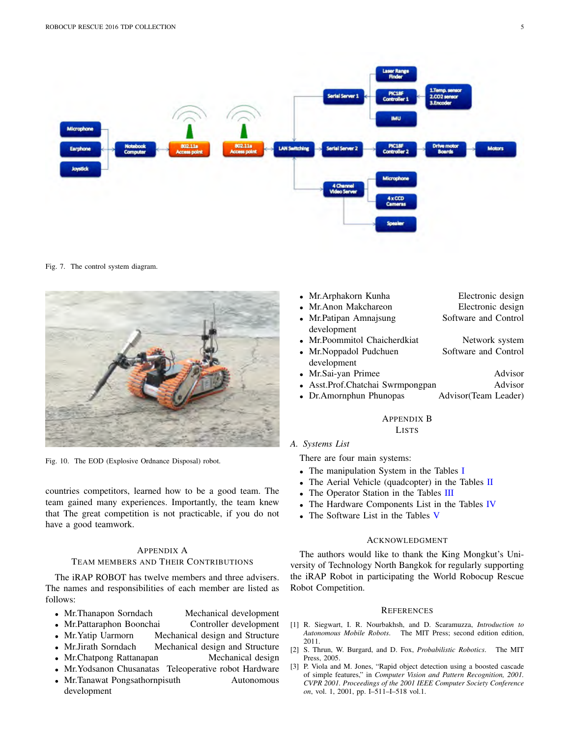

Fig. 7. The control system diagram.



Fig. 10. The EOD (Explosive Ordnance Disposal) robot.

countries competitors, learned how to be a good team. The team gained many experiences. Importantly, the team knew that The great competition is not practicable, if you do not have a good teamwork.

#### APPENDIX A

#### TEAM MEMBERS AND THEIR CONTRIBUTIONS

The iRAP ROBOT has twelve members and three advisers. The names and responsibilities of each member are listed as follows:

- 
- **•** Mr.Thanapon Sorndach Mechanical development<br>• Mr.Pattaraphon Boonchai Controller development • Mr.Pattaraphon Boonchai
- Mr. Yatip Uarmorn Mechanical design and Structure
- *•* Mr.Jirath Sorndach Mechanical design and Structure
- Mr.Chatpong Rattanapan Mechanical design
- *•* Mr.Yodsanon Chusanatas Teleoperative robot Hardware
- Mr.Tanawat Pongsathornpisuth Autonomous development
- *•* Mr.Arphakorn Kunha Electronic design
- **Mr.Anon Makchareon** *•* **Electronic design Mr.Patipan Amnaisung Software and Control**
- **Mr.Patipan Amnajsung** development
- Mr.Poommitol Chaicherdkiat **Franch Software and Control**<br>• Mr.Noppadol Pudchuen Software and Control
- **Mr.Noppadol Pudchuen**
- development
- *Mr.Sai-yan Primee* Advisor
- Asst.Prof.Chatchai Swrmpongpan Advisor
- Dr.Amornphun Phunopas Advisor(Team Leader)

# APPENDIX B

LISTS

*A. Systems List*

There are four main systems:

- *•* The manipulation System in the Tables I
- The Aerial Vehicle (quadcopter) in the Tables II
- *•* The Operator Station in the Tables III
- The Hardware Components List in the Tables IV
- *•* The Software List in the Tables V

#### **ACKNOWLEDGMENT**

The authors would like to thank the King Mongkut's University of Technology North Bangkok for regularly supporting the iRAP Robot in participating the World Robocup Rescue Robot Competition.

#### **REFERENCES**

- [1] R. Siegwart, I. R. Nourbakhsh, and D. Scaramuzza, *Introduction to* The MIT Press; second edition edition, 2011.
- [2] S. Thrun, W. Burgard, and D. Fox, *Probabilistic Robotics*. The MIT Press, 2005.
- [3] P. Viola and M. Jones, "Rapid object detection using a boosted cascade of simple features," in *Computer Vision and Pattern Recognition, 2001. CVPR 2001. Proceedings of the 2001 IEEE Computer Society Conference on*, vol. 1, 2001, pp. I–511–I–518 vol.1.